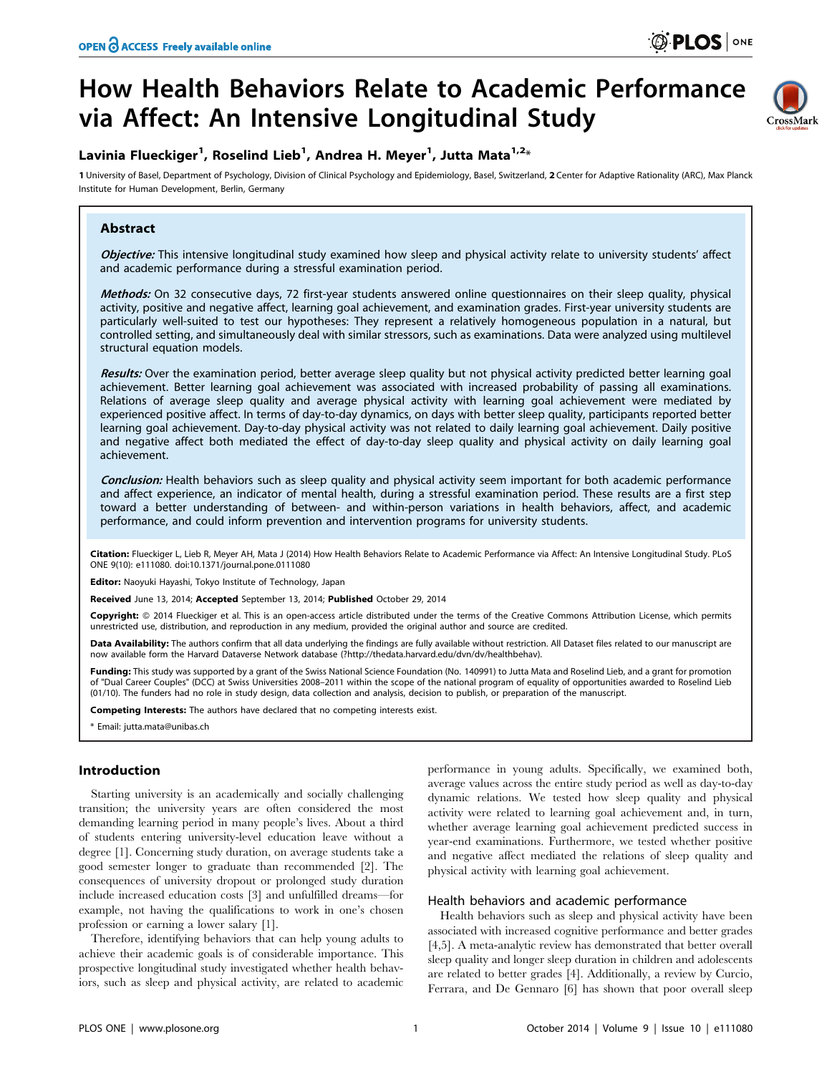CrossMarl

# How Health Behaviors Relate to Academic Performance via Affect: An Intensive Longitudinal Study

# Lavinia Flueckiger<sup>1</sup>, Roselind Lieb<sup>1</sup>, Andrea H. Meyer<sup>1</sup>, Jutta Mata<sup>1,2</sup>\*

1 University of Basel, Department of Psychology, Division of Clinical Psychology and Epidemiology, Basel, Switzerland, 2 Center for Adaptive Rationality (ARC), Max Planck Institute for Human Development, Berlin, Germany

# Abstract

Objective: This intensive longitudinal study examined how sleep and physical activity relate to university students' affect and academic performance during a stressful examination period.

Methods: On 32 consecutive days, 72 first-year students answered online questionnaires on their sleep quality, physical activity, positive and negative affect, learning goal achievement, and examination grades. First-year university students are particularly well-suited to test our hypotheses: They represent a relatively homogeneous population in a natural, but controlled setting, and simultaneously deal with similar stressors, such as examinations. Data were analyzed using multilevel structural equation models.

Results: Over the examination period, better average sleep quality but not physical activity predicted better learning goal achievement. Better learning goal achievement was associated with increased probability of passing all examinations. Relations of average sleep quality and average physical activity with learning goal achievement were mediated by experienced positive affect. In terms of day-to-day dynamics, on days with better sleep quality, participants reported better learning goal achievement. Day-to-day physical activity was not related to daily learning goal achievement. Daily positive and negative affect both mediated the effect of day-to-day sleep quality and physical activity on daily learning goal achievement.

Conclusion: Health behaviors such as sleep quality and physical activity seem important for both academic performance and affect experience, an indicator of mental health, during a stressful examination period. These results are a first step toward a better understanding of between- and within-person variations in health behaviors, affect, and academic performance, and could inform prevention and intervention programs for university students.

Citation: Flueckiger L, Lieb R, Meyer AH, Mata J (2014) How Health Behaviors Relate to Academic Performance via Affect: An Intensive Longitudinal Study. PLoS ONE 9(10): e111080. doi:10.1371/journal.pone.0111080

Editor: Naoyuki Hayashi, Tokyo Institute of Technology, Japan

Received June 13, 2014; Accepted September 13, 2014; Published October 29, 2014

Copyright: © 2014 Flueckiger et al. This is an open-access article distributed under the terms of the [Creative Commons Attribution License](http://creativecommons.org/licenses/by/4.0/), which permits unrestricted use, distribution, and reproduction in any medium, provided the original author and source are credited.

Data Availability: The authors confirm that all data underlying the findings are fully available without restriction. All Dataset files related to our manuscript are now available form the Harvard Dataverse Network database ([?http://thedata.harvard.edu/dvn/dv/healthbehav\)](http://thedata.harvard.edu/dvn/dv/healthbehav).

Funding: This study was supported by a grant of the Swiss National Science Foundation (No. 140991) to Jutta Mata and Roselind Lieb, and a grant for promotion of "Dual Career Couples" (DCC) at Swiss Universities 2008–2011 within the scope of the national program of equality of opportunities awarded to Roselind Lieb (01/10). The funders had no role in study design, data collection and analysis, decision to publish, or preparation of the manuscript.

Competing Interests: The authors have declared that no competing interests exist.

\* Email: jutta.mata@unibas.ch

# Introduction

Starting university is an academically and socially challenging transition; the university years are often considered the most demanding learning period in many people's lives. About a third of students entering university-level education leave without a degree [1]. Concerning study duration, on average students take a good semester longer to graduate than recommended [2]. The consequences of university dropout or prolonged study duration include increased education costs [3] and unfulfilled dreams—for example, not having the qualifications to work in one's chosen profession or earning a lower salary [1].

Therefore, identifying behaviors that can help young adults to achieve their academic goals is of considerable importance. This prospective longitudinal study investigated whether health behaviors, such as sleep and physical activity, are related to academic performance in young adults. Specifically, we examined both, average values across the entire study period as well as day-to-day dynamic relations. We tested how sleep quality and physical activity were related to learning goal achievement and, in turn, whether average learning goal achievement predicted success in year-end examinations. Furthermore, we tested whether positive and negative affect mediated the relations of sleep quality and physical activity with learning goal achievement.

#### Health behaviors and academic performance

Health behaviors such as sleep and physical activity have been associated with increased cognitive performance and better grades [4,5]. A meta-analytic review has demonstrated that better overall sleep quality and longer sleep duration in children and adolescents are related to better grades [4]. Additionally, a review by Curcio, Ferrara, and De Gennaro [6] has shown that poor overall sleep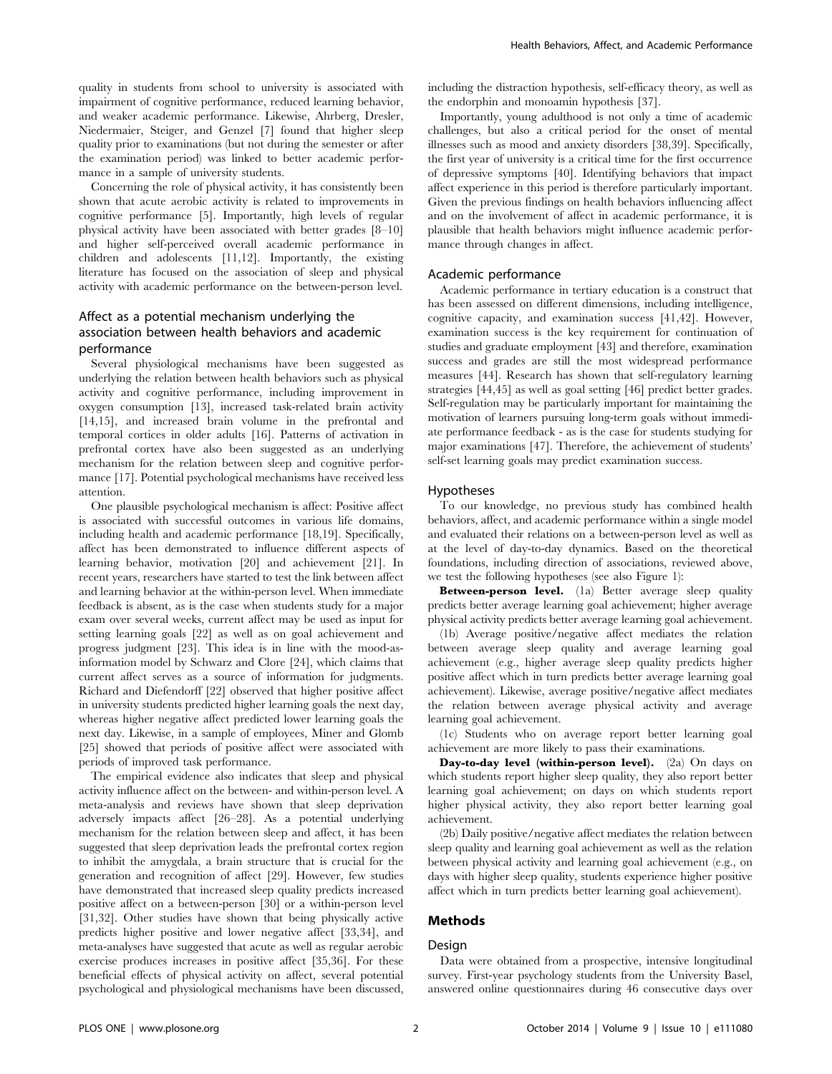quality in students from school to university is associated with impairment of cognitive performance, reduced learning behavior, and weaker academic performance. Likewise, Ahrberg, Dresler, Niedermaier, Steiger, and Genzel [7] found that higher sleep quality prior to examinations (but not during the semester or after the examination period) was linked to better academic performance in a sample of university students.

Concerning the role of physical activity, it has consistently been shown that acute aerobic activity is related to improvements in cognitive performance [5]. Importantly, high levels of regular physical activity have been associated with better grades [8–10] and higher self-perceived overall academic performance in children and adolescents [11,12]. Importantly, the existing literature has focused on the association of sleep and physical activity with academic performance on the between-person level.

# Affect as a potential mechanism underlying the association between health behaviors and academic performance

Several physiological mechanisms have been suggested as underlying the relation between health behaviors such as physical activity and cognitive performance, including improvement in oxygen consumption [13], increased task-related brain activity [14,15], and increased brain volume in the prefrontal and temporal cortices in older adults [16]. Patterns of activation in prefrontal cortex have also been suggested as an underlying mechanism for the relation between sleep and cognitive performance [17]. Potential psychological mechanisms have received less attention.

One plausible psychological mechanism is affect: Positive affect is associated with successful outcomes in various life domains, including health and academic performance [18,19]. Specifically, affect has been demonstrated to influence different aspects of learning behavior, motivation [20] and achievement [21]. In recent years, researchers have started to test the link between affect and learning behavior at the within-person level. When immediate feedback is absent, as is the case when students study for a major exam over several weeks, current affect may be used as input for setting learning goals [22] as well as on goal achievement and progress judgment [23]. This idea is in line with the mood-asinformation model by Schwarz and Clore [24], which claims that current affect serves as a source of information for judgments. Richard and Diefendorff [22] observed that higher positive affect in university students predicted higher learning goals the next day, whereas higher negative affect predicted lower learning goals the next day. Likewise, in a sample of employees, Miner and Glomb [25] showed that periods of positive affect were associated with periods of improved task performance.

The empirical evidence also indicates that sleep and physical activity influence affect on the between- and within-person level. A meta-analysis and reviews have shown that sleep deprivation adversely impacts affect [26–28]. As a potential underlying mechanism for the relation between sleep and affect, it has been suggested that sleep deprivation leads the prefrontal cortex region to inhibit the amygdala, a brain structure that is crucial for the generation and recognition of affect [29]. However, few studies have demonstrated that increased sleep quality predicts increased positive affect on a between-person [30] or a within-person level [31,32]. Other studies have shown that being physically active predicts higher positive and lower negative affect [33,34], and meta-analyses have suggested that acute as well as regular aerobic exercise produces increases in positive affect [35,36]. For these beneficial effects of physical activity on affect, several potential psychological and physiological mechanisms have been discussed, including the distraction hypothesis, self-efficacy theory, as well as the endorphin and monoamin hypothesis [37].

Importantly, young adulthood is not only a time of academic challenges, but also a critical period for the onset of mental illnesses such as mood and anxiety disorders [38,39]. Specifically, the first year of university is a critical time for the first occurrence of depressive symptoms [40]. Identifying behaviors that impact affect experience in this period is therefore particularly important. Given the previous findings on health behaviors influencing affect and on the involvement of affect in academic performance, it is plausible that health behaviors might influence academic performance through changes in affect.

#### Academic performance

Academic performance in tertiary education is a construct that has been assessed on different dimensions, including intelligence, cognitive capacity, and examination success [41,42]. However, examination success is the key requirement for continuation of studies and graduate employment [43] and therefore, examination success and grades are still the most widespread performance measures [44]. Research has shown that self-regulatory learning strategies [44,45] as well as goal setting [46] predict better grades. Self-regulation may be particularly important for maintaining the motivation of learners pursuing long-term goals without immediate performance feedback - as is the case for students studying for major examinations [47]. Therefore, the achievement of students' self-set learning goals may predict examination success.

#### Hypotheses

To our knowledge, no previous study has combined health behaviors, affect, and academic performance within a single model and evaluated their relations on a between-person level as well as at the level of day-to-day dynamics. Based on the theoretical foundations, including direction of associations, reviewed above, we test the following hypotheses (see also Figure 1):

Between-person level. (1a) Better average sleep quality predicts better average learning goal achievement; higher average physical activity predicts better average learning goal achievement.

(1b) Average positive/negative affect mediates the relation between average sleep quality and average learning goal achievement (e.g., higher average sleep quality predicts higher positive affect which in turn predicts better average learning goal achievement). Likewise, average positive/negative affect mediates the relation between average physical activity and average learning goal achievement.

(1c) Students who on average report better learning goal achievement are more likely to pass their examinations.

Day-to-day level (within-person level). (2a) On days on which students report higher sleep quality, they also report better learning goal achievement; on days on which students report higher physical activity, they also report better learning goal achievement.

(2b) Daily positive/negative affect mediates the relation between sleep quality and learning goal achievement as well as the relation between physical activity and learning goal achievement (e.g., on days with higher sleep quality, students experience higher positive affect which in turn predicts better learning goal achievement).

# Methods

#### Design

Data were obtained from a prospective, intensive longitudinal survey. First-year psychology students from the University Basel, answered online questionnaires during 46 consecutive days over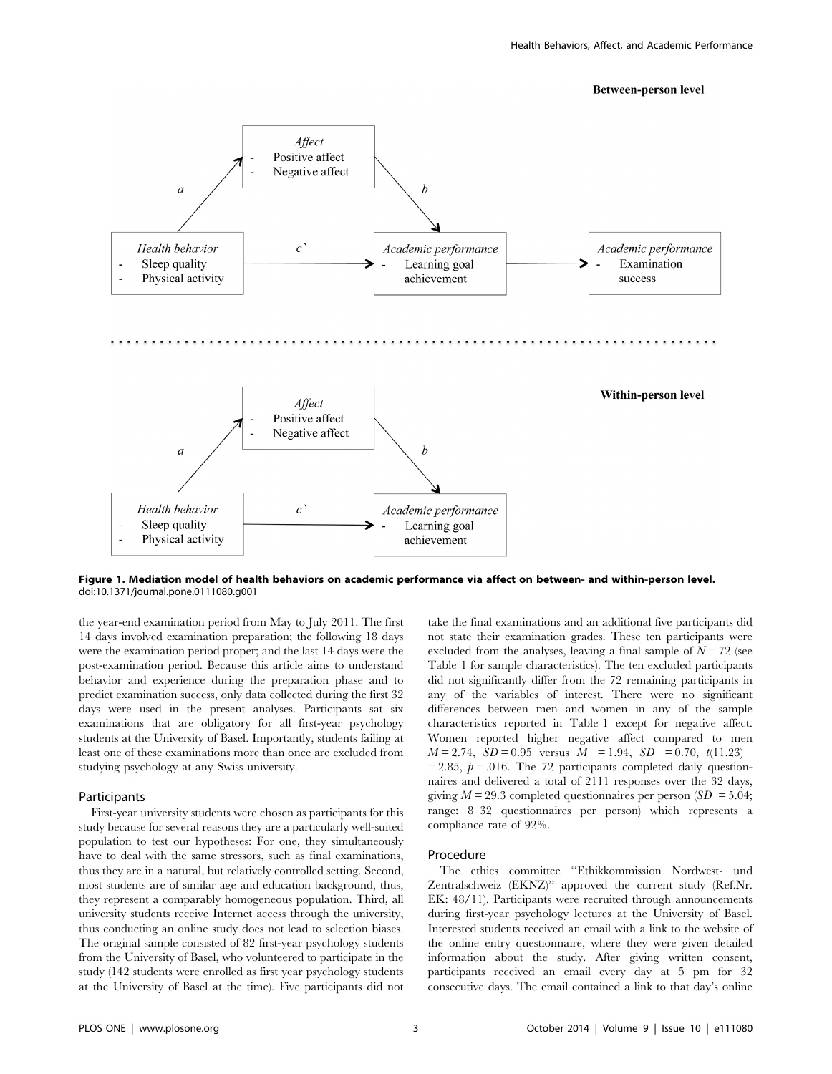**Between-person level** 



Figure 1. Mediation model of health behaviors on academic performance via affect on between- and within-person level. doi:10.1371/journal.pone.0111080.g001

the year-end examination period from May to July 2011. The first 14 days involved examination preparation; the following 18 days were the examination period proper; and the last 14 days were the post-examination period. Because this article aims to understand behavior and experience during the preparation phase and to predict examination success, only data collected during the first 32 days were used in the present analyses. Participants sat six examinations that are obligatory for all first-year psychology students at the University of Basel. Importantly, students failing at least one of these examinations more than once are excluded from studying psychology at any Swiss university.

# Participants

First-year university students were chosen as participants for this study because for several reasons they are a particularly well-suited population to test our hypotheses: For one, they simultaneously have to deal with the same stressors, such as final examinations, thus they are in a natural, but relatively controlled setting. Second, most students are of similar age and education background, thus, they represent a comparably homogeneous population. Third, all university students receive Internet access through the university, thus conducting an online study does not lead to selection biases. The original sample consisted of 82 first-year psychology students from the University of Basel, who volunteered to participate in the study (142 students were enrolled as first year psychology students at the University of Basel at the time). Five participants did not

take the final examinations and an additional five participants did not state their examination grades. These ten participants were excluded from the analyses, leaving a final sample of  $N = 72$  (see Table 1 for sample characteristics). The ten excluded participants did not significantly differ from the 72 remaining participants in any of the variables of interest. There were no significant differences between men and women in any of the sample characteristics reported in Table 1 except for negative affect. Women reported higher negative affect compared to men  $M = 2.74$ ,  $SD = 0.95$  versus  $M = 1.94$ ,  $SD = 0.70$ ,  $t(11.23)$  $= 2.85, p = .016$ . The 72 participants completed daily questionnaires and delivered a total of 2111 responses over the 32 days, giving  $M = 29.3$  completed questionnaires per person ( $SD = 5.04$ ; range: 8–32 questionnaires per person) which represents a compliance rate of 92%.

#### Procedure

The ethics committee ''Ethikkommission Nordwest- und Zentralschweiz (EKNZ)'' approved the current study (Ref.Nr. EK: 48/11). Participants were recruited through announcements during first-year psychology lectures at the University of Basel. Interested students received an email with a link to the website of the online entry questionnaire, where they were given detailed information about the study. After giving written consent, participants received an email every day at 5 pm for 32 consecutive days. The email contained a link to that day's online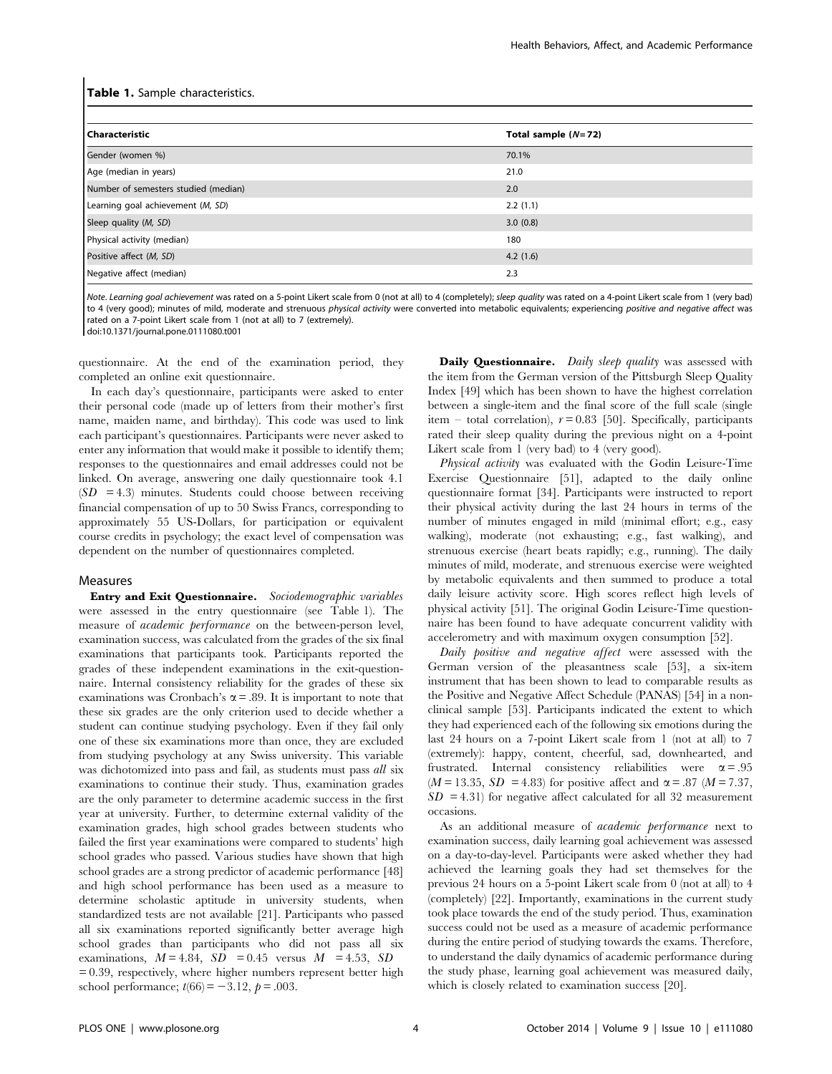#### Table 1. Sample characteristics.

| Characteristic                       | Total sample $(N=72)$ |
|--------------------------------------|-----------------------|
| Gender (women %)                     | 70.1%                 |
| Age (median in years)                | 21.0                  |
| Number of semesters studied (median) | 2.0                   |
| Learning goal achievement (M, SD)    | 2.2(1.1)              |
| Sleep quality (M, SD)                | 3.0(0.8)              |
| Physical activity (median)           | 180                   |
| Positive affect (M, SD)              | 4.2(1.6)              |
| Negative affect (median)             | 2.3                   |
|                                      |                       |

Note. Learning goal achievement was rated on a 5-point Likert scale from 0 (not at all) to 4 (completely); sleep quality was rated on a 4-point Likert scale from 1 (very bad) to 4 (very good); minutes of mild, moderate and strenuous physical activity were converted into metabolic equivalents; experiencing positive and negative affect was rated on a 7-point Likert scale from 1 (not at all) to 7 (extremely).

doi:10.1371/journal.pone.0111080.t001

questionnaire. At the end of the examination period, they completed an online exit questionnaire.

In each day's questionnaire, participants were asked to enter their personal code (made up of letters from their mother's first name, maiden name, and birthday). This code was used to link each participant's questionnaires. Participants were never asked to enter any information that would make it possible to identify them; responses to the questionnaires and email addresses could not be linked. On average, answering one daily questionnaire took 4.1  $(SD = 4.3)$  minutes. Students could choose between receiving financial compensation of up to 50 Swiss Francs, corresponding to approximately 55 US-Dollars, for participation or equivalent course credits in psychology; the exact level of compensation was dependent on the number of questionnaires completed.

#### Measures

Entry and Exit Questionnaire. Sociodemographic variables were assessed in the entry questionnaire (see Table 1). The measure of *academic performance* on the between-person level, examination success, was calculated from the grades of the six final examinations that participants took. Participants reported the grades of these independent examinations in the exit-questionnaire. Internal consistency reliability for the grades of these six examinations was Cronbach's  $\alpha$  = .89. It is important to note that these six grades are the only criterion used to decide whether a student can continue studying psychology. Even if they fail only one of these six examinations more than once, they are excluded from studying psychology at any Swiss university. This variable was dichotomized into pass and fail, as students must pass all six examinations to continue their study. Thus, examination grades are the only parameter to determine academic success in the first year at university. Further, to determine external validity of the examination grades, high school grades between students who failed the first year examinations were compared to students' high school grades who passed. Various studies have shown that high school grades are a strong predictor of academic performance [48] and high school performance has been used as a measure to determine scholastic aptitude in university students, when standardized tests are not available [21]. Participants who passed all six examinations reported significantly better average high school grades than participants who did not pass all six examinations,  $M = 4.84$ ,  $SD = 0.45$  versus  $M = 4.53$ ,  $SD$ = 0.39, respectively, where higher numbers represent better high school performance;  $t(66) = -3.12$ ,  $p = .003$ .

Daily Questionnaire. Daily sleep quality was assessed with the item from the German version of the Pittsburgh Sleep Quality Index [49] which has been shown to have the highest correlation between a single-item and the final score of the full scale (single item – total correlation),  $r = 0.83$  [50]. Specifically, participants rated their sleep quality during the previous night on a 4-point Likert scale from 1 (very bad) to 4 (very good).

Physical activity was evaluated with the Godin Leisure-Time Exercise Questionnaire [51], adapted to the daily online questionnaire format [34]. Participants were instructed to report their physical activity during the last 24 hours in terms of the number of minutes engaged in mild (minimal effort; e.g., easy walking), moderate (not exhausting; e.g., fast walking), and strenuous exercise (heart beats rapidly; e.g., running). The daily minutes of mild, moderate, and strenuous exercise were weighted by metabolic equivalents and then summed to produce a total daily leisure activity score. High scores reflect high levels of physical activity [51]. The original Godin Leisure-Time questionnaire has been found to have adequate concurrent validity with accelerometry and with maximum oxygen consumption [52].

Daily positive and negative affect were assessed with the German version of the pleasantness scale [53], a six-item instrument that has been shown to lead to comparable results as the Positive and Negative Affect Schedule (PANAS) [54] in a nonclinical sample [53]. Participants indicated the extent to which they had experienced each of the following six emotions during the last 24 hours on a 7-point Likert scale from 1 (not at all) to 7 (extremely): happy, content, cheerful, sad, downhearted, and frustrated. Internal consistency reliabilities were  $\alpha = .95$  $(M = 13.35, SD = 4.83)$  for positive affect and  $\alpha = .87$   $(M = 7.37,$  $SD = 4.31$ ) for negative affect calculated for all 32 measurement occasions.

As an additional measure of *academic performance* next to examination success, daily learning goal achievement was assessed on a day-to-day-level. Participants were asked whether they had achieved the learning goals they had set themselves for the previous 24 hours on a 5-point Likert scale from 0 (not at all) to 4 (completely) [22]. Importantly, examinations in the current study took place towards the end of the study period. Thus, examination success could not be used as a measure of academic performance during the entire period of studying towards the exams. Therefore, to understand the daily dynamics of academic performance during the study phase, learning goal achievement was measured daily, which is closely related to examination success [20].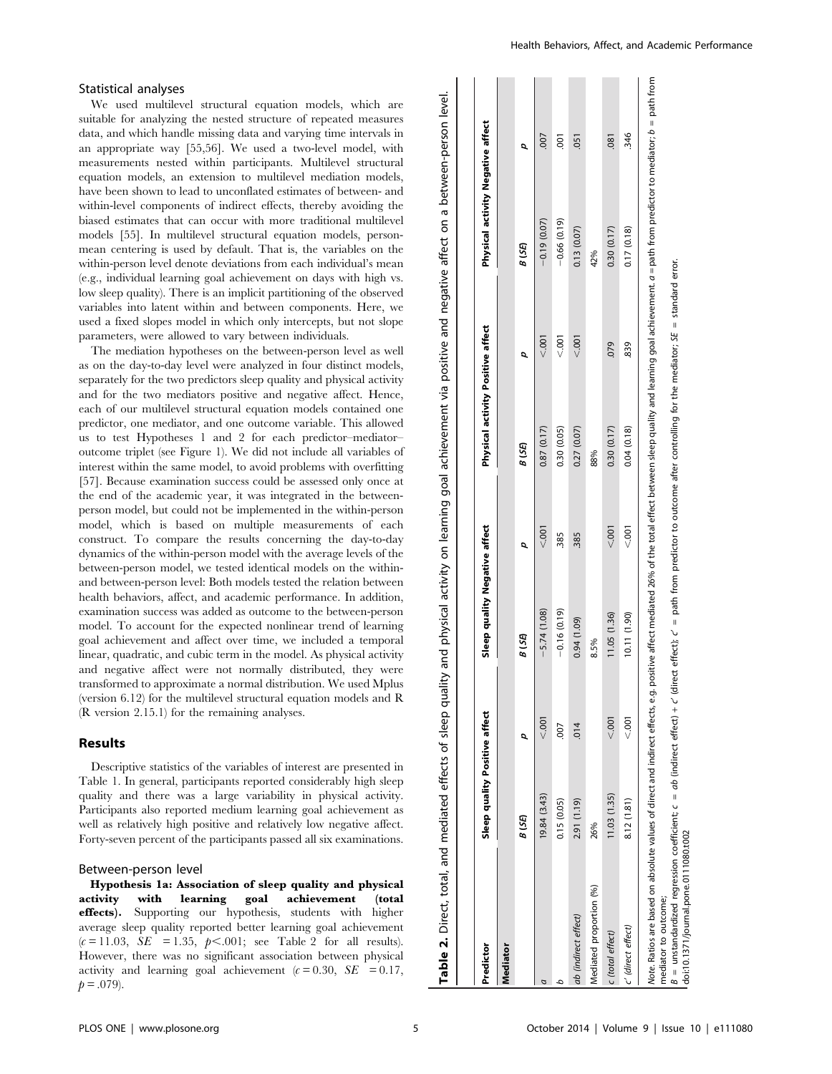# Statistical analyses

We used multilevel structural equation models, which are suitable for analyzing the nested structure of repeated measures data, and which handle missing data and varying time intervals in an appropriate way [55,56]. We used a two-level model, with measurements nested within participants. Multilevel structural equation models, an extension to multilevel mediation models, have been shown to lead to unconflated estimates of between- and within-level components of indirect effects, thereby avoiding the biased estimates that can occur with more traditional multilevel models [55]. In multilevel structural equation models, personmean centering is used by default. That is, the variables on the within-person level denote deviations from each individual's mean (e.g., individual learning goal achievement on days with high vs. low sleep quality). There is an implicit partitioning of the observed variables into latent within and between components. Here, we used a fixed slopes model in which only intercepts, but not slope parameters, were allowed to vary between individuals.

The mediation hypotheses on the between-person level as well as on the day-to-day level were analyzed in four distinct models, separately for the two predictors sleep quality and physical activity and for the two mediators positive and negative affect. Hence, each of our multilevel structural equation models contained one predictor, one mediator, and one outcome variable. This allowed us to test Hypotheses 1 and 2 for each predictor–mediator– outcome triplet (see Figure 1). We did not include all variables of interest within the same model, to avoid problems with overfitting [57]. Because examination success could be assessed only once at the end of the academic year, it was integrated in the betweenperson model, but could not be implemented in the within-person model, which is based on multiple measurements of each construct. To compare the results concerning the day-to-day dynamics of the within-person model with the average levels of the between-person model, we tested identical models on the withinand between-person level: Both models tested the relation between health behaviors, affect, and academic performance. In addition, examination success was added as outcome to the between-person model. To account for the expected nonlinear trend of learning goal achievement and affect over time, we included a temporal linear, quadratic, and cubic term in the model. As physical activity and negative affect were not normally distributed, they were transformed to approximate a normal distribution. We used Mplus (version 6.12) for the multilevel structural equation models and R (R version 2.15.1) for the remaining analyses.

## Results

Descriptive statistics of the variables of interest are presented in Table 1. In general, participants reported considerably high sleep quality and there was a large variability in physical activity. Participants also reported medium learning goal achievement as well as relatively high positive and relatively low negative affect. Forty-seven percent of the participants passed all six examinations.

#### Between-person level

Hypothesis 1a: Association of sleep quality and physical activity with learning goal achievement (total effects). Supporting our hypothesis, students with higher average sleep quality reported better learning goal achievement  $(c = 11.03, \, SE = 1.35, \, p < .001; \, \text{see} \, \text{Table 2} \, \text{for all} \, \text{results}).$ However, there was no significant association between physical activity and learning goal achievement ( $c = 0.30$ ,  $SE = 0.17$ ,  $p = .079$ .

| Predictor                                                                                                                                                                                                                                                                                          | Sleep quality Positive affect |               | Sleep quality Negative affect |               | Physical activity Positive affect |                 | Physical activity Negative affect                                                                                                                            |        |
|----------------------------------------------------------------------------------------------------------------------------------------------------------------------------------------------------------------------------------------------------------------------------------------------------|-------------------------------|---------------|-------------------------------|---------------|-----------------------------------|-----------------|--------------------------------------------------------------------------------------------------------------------------------------------------------------|--------|
| Mediator                                                                                                                                                                                                                                                                                           |                               |               |                               |               |                                   |                 |                                                                                                                                                              |        |
|                                                                                                                                                                                                                                                                                                    | 8 (SE)                        |               | 8 (SE)                        |               | B (SE)                            |                 | 8 (SE)                                                                                                                                                       | Q      |
| a                                                                                                                                                                                                                                                                                                  | 19.84 (3.43)                  | $\frac{5}{2}$ | $-5.74(1.08)$                 | $\frac{1}{2}$ | 0.87(0.17)                        | $\frac{200}{2}$ | $-0.19(0.07)$                                                                                                                                                | .007   |
| ء                                                                                                                                                                                                                                                                                                  | 0.15(0.05)                    | 00            | $-0.16(0.19)$                 | 385           | 0.30 (0.05)                       | 000             | $-0.66(0.19)$                                                                                                                                                | $-001$ |
| ab (indirect effect)                                                                                                                                                                                                                                                                               | 2.91 (1.19)                   | .014          | 0.94 (1.09)                   | 385           | 0.27 (0.07)                       | 000             | 0.13(0.07)                                                                                                                                                   | .051   |
| Mediated proportion (%)                                                                                                                                                                                                                                                                            | 26%                           |               | 8.5%                          |               | 88%                               |                 | 42%                                                                                                                                                          |        |
| c (total effect)                                                                                                                                                                                                                                                                                   | 11.03(1.35)                   | < 001         | 11.05(1.36)                   | < 001         | 0.30 (0.17)                       | .079            | 0.30(0.17)                                                                                                                                                   | $-081$ |
| c' (direct effect)                                                                                                                                                                                                                                                                                 | 8.12 (1.81)                   | < 0.001       | 10.11 (1.90)                  | $\leq 001$    | 0.04(0.18)                        | 839             | 0.17(0.18)                                                                                                                                                   | 346    |
| B = unstandardized regression coefficient; c = ab (indirect effect) + c' (direct effect); c' = path from predictor to outcome after controlling for the mediator; SE = standard error.<br>Note. Ratios are based on absolute values of direct and indirect effects, e.g. I<br>mediator to outcome; |                               |               |                               |               |                                   |                 | oositive affect mediated 26% of the total effect between sleep quality and learning goal achievement. $a$ = path from predictor to mediator; $b =$ path from |        |
|                                                                                                                                                                                                                                                                                                    |                               |               |                               |               |                                   |                 |                                                                                                                                                              |        |

Table 2. Direct, total, and mediated effects of sleep quality and physical activity on learning goal achievement via positive and negative affect on a between-person level.

Table 2. Direct, total, and mediated effects of sleep quality and physical activity on learning goal achievement via positive and negative affect on a between-person level

doi:10.1371/journal.pone.0111080.t002 doi:10.1371/journal.pone.0111080.t002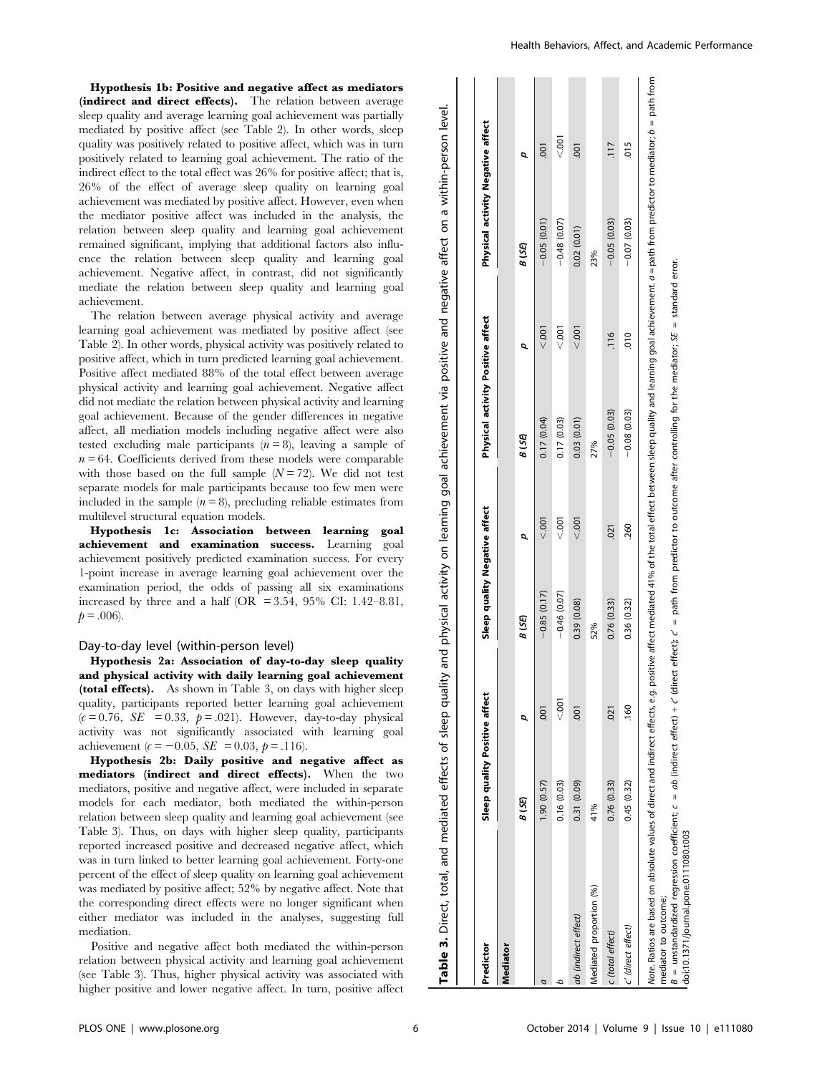Hypothesis 1b: Positive and negative affect as mediators (indirect and direct effects). The relation between average sleep quality and average learning goal achievement was partially mediated by positive affect (see Table 2). In other words, sleep quality was positively related to positive affect, which was in turn positively related to learning goal achievement. The ratio of the indirect effect to the total effect was 26% for positive affect; that is, 26% of the effect of average sleep quality on learning goal achievement was mediated by positive affect. However, even when the mediator positive affect was included in the analysis, the relation between sleep quality and learning goal achievement remained significant, implying that additional factors also influence the relation between sleep quality and learning goal achievement. Negative affect, in contrast, did not significantly mediate the relation between sleep quality and learning goal achievement.

The relation between average physical activity and average learning goal achievement was mediated by positive affect (see Table 2). In other words, physical activity was positively related to positive affect, which in turn predicted learning goal achievement. Positive affect mediated 88% of the total effect between average physical activity and learning goal achievement. Negative affect did not mediate the relation between physical activity and learning goal achievement. Because of the gender differences in negative affect, all mediation models including negative affect were also tested excluding male participants  $(n = 8)$ , leaving a sample of  $n = 64$ . Coefficients derived from these models were comparable with those based on the full sample  $(N = 72)$ . We did not test separate models for male participants because too few men were included in the sample  $(n = 8)$ , precluding reliable estimates from multilevel structural equation models.

Hypothesis 1c: Association between learning goal achievement and examination success. Learning goal achievement positively predicted examination success. For every 1-point increase in average learning goal achievement over the examination period, the odds of passing all six examinations increased by three and a half (OR =  $3.54$ ,  $95\%$  CI:  $1.42-8.81$ ,  $p = .006$ ).

#### Day-to-day level (within-person level)

Hypothesis 2a: Association of day-to-day sleep quality and physical activity with daily learning goal achievement (total effects). As shown in Table 3, on days with higher sleep quality, participants reported better learning goal achievement  $(c=0.76, SE=0.33, p=.021)$ . However, day-to-day physical activity was not significantly associated with learning goal achievement ( $c = -0.05$ ,  $SE = 0.03$ ,  $p = .116$ ).

Hypothesis 2b: Daily positive and negative affect as mediators (indirect and direct effects). When the two mediators, positive and negative affect, were included in separate models for each mediator, both mediated the within-person relation between sleep quality and learning goal achievement (see Table 3). Thus, on days with higher sleep quality, participants reported increased positive and decreased negative affect, which was in turn linked to better learning goal achievement. Forty-one percent of the effect of sleep quality on learning goal achievement was mediated by positive affect; 52% by negative affect. Note that the corresponding direct effects were no longer significant when either mediator was included in the analyses, suggesting full mediation.

Positive and negative affect both mediated the within-person relation between physical activity and learning goal achievement (see Table 3). Thus, higher physical activity was associated with higher positive and lower negative affect. In turn, positive affect

Table 3. Direct, total, and mediated effects of sleep quality and physical activity on learning goal achievement via positive and negative affect on a within-person level. 3. Direct, total, and mediated effects of sleep quality and physical activity on learning goal achievement via positive and negative affect on a within-person level

| Predictor                                                                                                                                                                                                                                                                                                                                                                                                                                                                                      | Sleep quality Positive affect |                | Sleep quality Negative affect |        | Physical activity Positive affect |                | Physical activity Negative affect |                |
|------------------------------------------------------------------------------------------------------------------------------------------------------------------------------------------------------------------------------------------------------------------------------------------------------------------------------------------------------------------------------------------------------------------------------------------------------------------------------------------------|-------------------------------|----------------|-------------------------------|--------|-----------------------------------|----------------|-----------------------------------|----------------|
| Mediator                                                                                                                                                                                                                                                                                                                                                                                                                                                                                       |                               |                |                               |        |                                   |                |                                   |                |
|                                                                                                                                                                                                                                                                                                                                                                                                                                                                                                | 8 (SB)                        |                | 8 (SE)                        | ø      | 8 (SE)                            | ø              | 8 (SE)                            | ٥              |
|                                                                                                                                                                                                                                                                                                                                                                                                                                                                                                | 1.90(0.57)                    | ā              | $-0.85(0.17)$                 | < 001  | 0.17(0.04)                        | $\frac{50}{2}$ | $-0.05(0.01)$                     | $\overline{0}$ |
|                                                                                                                                                                                                                                                                                                                                                                                                                                                                                                | 0.16(0.03)                    | $\frac{50}{2}$ | $-0.46(0.07)$                 | 001    | 0.17(0.03)                        | $\frac{5}{2}$  | $-0.48(0.07)$                     | < 001          |
| ab (indirect effect)                                                                                                                                                                                                                                                                                                                                                                                                                                                                           | 0.31 (0.09)                   | ຣຸ             | 0.39 (0.08)                   | < .001 | 0.03(0.01)                        | < 001          | 0.02(0.01)                        | $-001$         |
| Mediated proportion (%)                                                                                                                                                                                                                                                                                                                                                                                                                                                                        | 41%                           |                | 52%                           |        | 27%                               |                | 23%                               |                |
| c (total effect)                                                                                                                                                                                                                                                                                                                                                                                                                                                                               | 0.76 (0.33)                   | .021           | 0.76(0.33)                    | .021   | $-0.05(0.03)$                     | .116           | $-0.05(0.03)$                     | 117            |
| ' (direct effect)                                                                                                                                                                                                                                                                                                                                                                                                                                                                              | 0.45(0.32)                    | .160           | 0.36 (0.32)                   | 260    | $-0.08(0.03)$                     | 010            | $-0.07(0.03)$                     | .015           |
| Note. Ratios are based on absolute values of direct and indirect effects, e.g. positive affect mediated 41% of the total effect between sleep quality and learning goal achievement. $a$ = path from predictor to mediator; $b$<br>$B$ = unstandardized regression coefficient; $c = ab$ (indirect effect) + c' (direct effect); c' = path from predictor to outcome after controlling for the mediator; SE = standard error.<br>doi:10.1371/journal.pone.0111080.t003<br>mediator to outcome; |                               |                |                               |        |                                   |                |                                   |                |

Table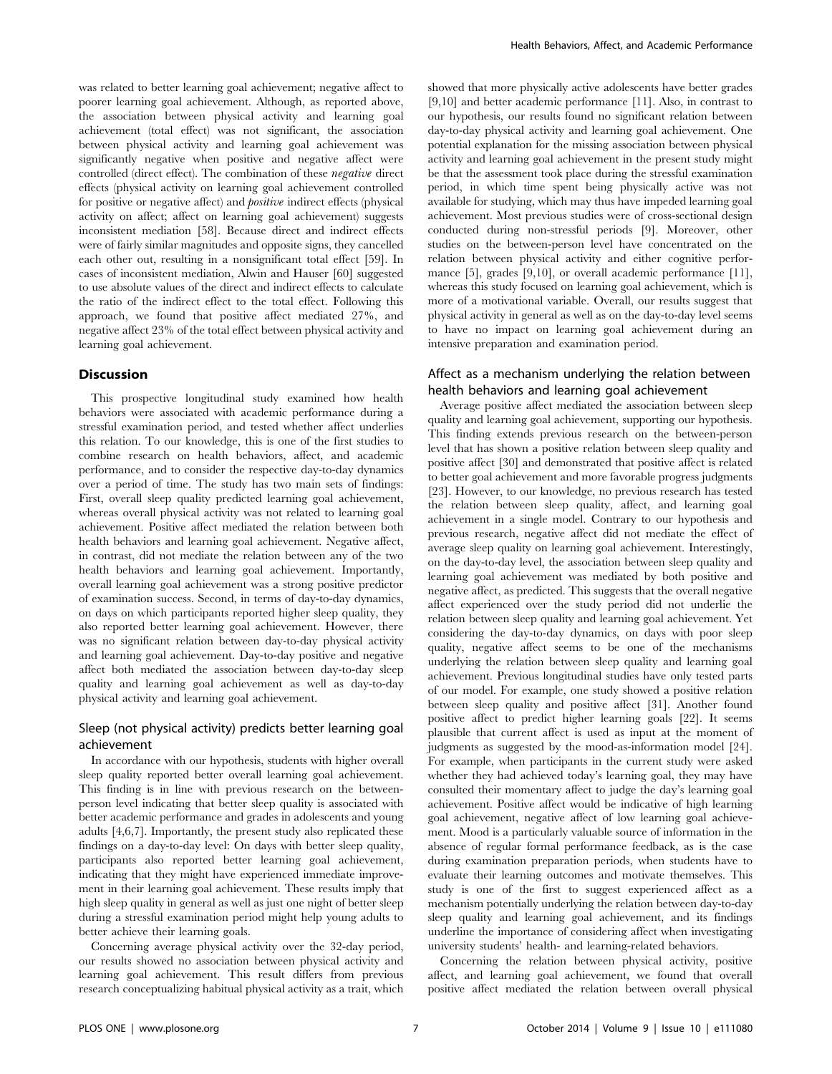was related to better learning goal achievement; negative affect to poorer learning goal achievement. Although, as reported above, the association between physical activity and learning goal achievement (total effect) was not significant, the association between physical activity and learning goal achievement was significantly negative when positive and negative affect were controlled (direct effect). The combination of these negative direct effects (physical activity on learning goal achievement controlled for positive or negative affect) and positive indirect effects (physical activity on affect; affect on learning goal achievement) suggests inconsistent mediation [58]. Because direct and indirect effects were of fairly similar magnitudes and opposite signs, they cancelled each other out, resulting in a nonsignificant total effect [59]. In cases of inconsistent mediation, Alwin and Hauser [60] suggested to use absolute values of the direct and indirect effects to calculate the ratio of the indirect effect to the total effect. Following this approach, we found that positive affect mediated 27%, and negative affect 23% of the total effect between physical activity and learning goal achievement.

# Discussion

This prospective longitudinal study examined how health behaviors were associated with academic performance during a stressful examination period, and tested whether affect underlies this relation. To our knowledge, this is one of the first studies to combine research on health behaviors, affect, and academic performance, and to consider the respective day-to-day dynamics over a period of time. The study has two main sets of findings: First, overall sleep quality predicted learning goal achievement, whereas overall physical activity was not related to learning goal achievement. Positive affect mediated the relation between both health behaviors and learning goal achievement. Negative affect, in contrast, did not mediate the relation between any of the two health behaviors and learning goal achievement. Importantly, overall learning goal achievement was a strong positive predictor of examination success. Second, in terms of day-to-day dynamics, on days on which participants reported higher sleep quality, they also reported better learning goal achievement. However, there was no significant relation between day-to-day physical activity and learning goal achievement. Day-to-day positive and negative affect both mediated the association between day-to-day sleep quality and learning goal achievement as well as day-to-day physical activity and learning goal achievement.

# Sleep (not physical activity) predicts better learning goal achievement

In accordance with our hypothesis, students with higher overall sleep quality reported better overall learning goal achievement. This finding is in line with previous research on the betweenperson level indicating that better sleep quality is associated with better academic performance and grades in adolescents and young adults [4,6,7]. Importantly, the present study also replicated these findings on a day-to-day level: On days with better sleep quality, participants also reported better learning goal achievement, indicating that they might have experienced immediate improvement in their learning goal achievement. These results imply that high sleep quality in general as well as just one night of better sleep during a stressful examination period might help young adults to better achieve their learning goals.

Concerning average physical activity over the 32-day period, our results showed no association between physical activity and learning goal achievement. This result differs from previous research conceptualizing habitual physical activity as a trait, which showed that more physically active adolescents have better grades [9,10] and better academic performance [11]. Also, in contrast to our hypothesis, our results found no significant relation between day-to-day physical activity and learning goal achievement. One potential explanation for the missing association between physical activity and learning goal achievement in the present study might be that the assessment took place during the stressful examination period, in which time spent being physically active was not available for studying, which may thus have impeded learning goal achievement. Most previous studies were of cross-sectional design conducted during non-stressful periods [9]. Moreover, other studies on the between-person level have concentrated on the relation between physical activity and either cognitive performance [5], grades [9,10], or overall academic performance [11], whereas this study focused on learning goal achievement, which is more of a motivational variable. Overall, our results suggest that physical activity in general as well as on the day-to-day level seems to have no impact on learning goal achievement during an intensive preparation and examination period.

# Affect as a mechanism underlying the relation between health behaviors and learning goal achievement

Average positive affect mediated the association between sleep quality and learning goal achievement, supporting our hypothesis. This finding extends previous research on the between-person level that has shown a positive relation between sleep quality and positive affect [30] and demonstrated that positive affect is related to better goal achievement and more favorable progress judgments [23]. However, to our knowledge, no previous research has tested the relation between sleep quality, affect, and learning goal achievement in a single model. Contrary to our hypothesis and previous research, negative affect did not mediate the effect of average sleep quality on learning goal achievement. Interestingly, on the day-to-day level, the association between sleep quality and learning goal achievement was mediated by both positive and negative affect, as predicted. This suggests that the overall negative affect experienced over the study period did not underlie the relation between sleep quality and learning goal achievement. Yet considering the day-to-day dynamics, on days with poor sleep quality, negative affect seems to be one of the mechanisms underlying the relation between sleep quality and learning goal achievement. Previous longitudinal studies have only tested parts of our model. For example, one study showed a positive relation between sleep quality and positive affect [31]. Another found positive affect to predict higher learning goals [22]. It seems plausible that current affect is used as input at the moment of judgments as suggested by the mood-as-information model [24]. For example, when participants in the current study were asked whether they had achieved today's learning goal, they may have consulted their momentary affect to judge the day's learning goal achievement. Positive affect would be indicative of high learning goal achievement, negative affect of low learning goal achievement. Mood is a particularly valuable source of information in the absence of regular formal performance feedback, as is the case during examination preparation periods, when students have to evaluate their learning outcomes and motivate themselves. This study is one of the first to suggest experienced affect as a mechanism potentially underlying the relation between day-to-day sleep quality and learning goal achievement, and its findings underline the importance of considering affect when investigating university students' health- and learning-related behaviors.

Concerning the relation between physical activity, positive affect, and learning goal achievement, we found that overall positive affect mediated the relation between overall physical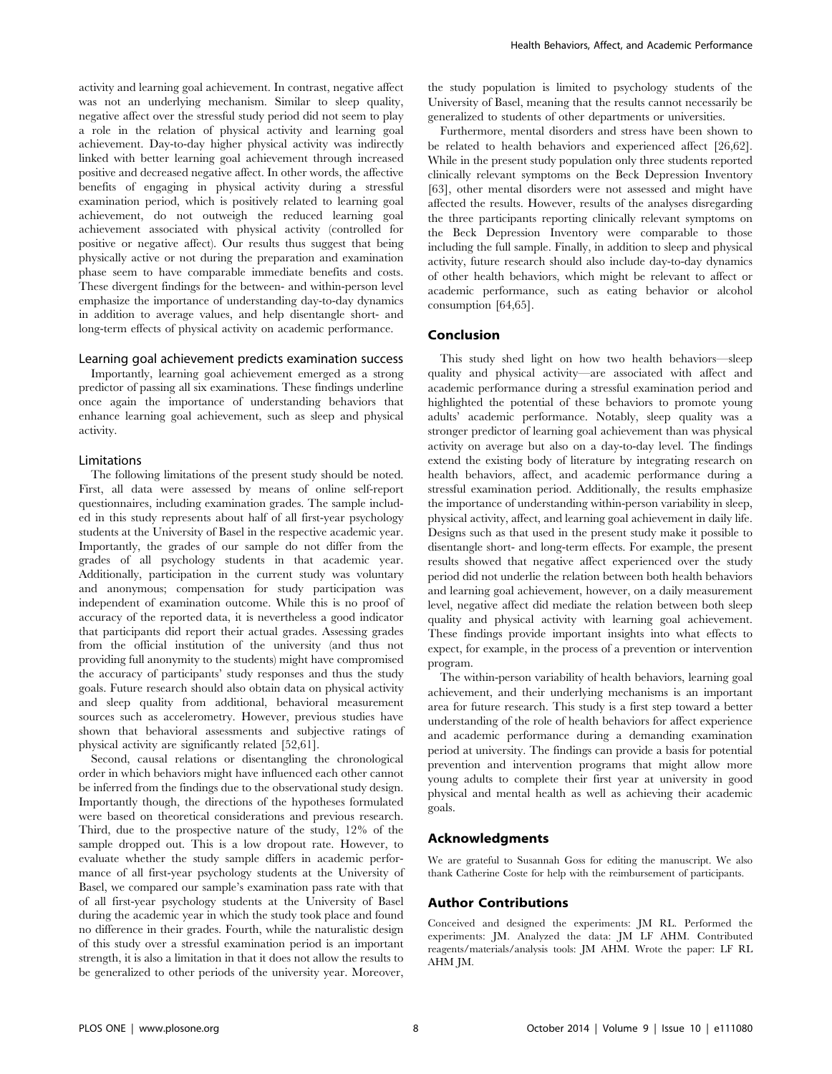activity and learning goal achievement. In contrast, negative affect was not an underlying mechanism. Similar to sleep quality, negative affect over the stressful study period did not seem to play a role in the relation of physical activity and learning goal achievement. Day-to-day higher physical activity was indirectly linked with better learning goal achievement through increased positive and decreased negative affect. In other words, the affective benefits of engaging in physical activity during a stressful examination period, which is positively related to learning goal achievement, do not outweigh the reduced learning goal achievement associated with physical activity (controlled for positive or negative affect). Our results thus suggest that being physically active or not during the preparation and examination phase seem to have comparable immediate benefits and costs. These divergent findings for the between- and within-person level emphasize the importance of understanding day-to-day dynamics in addition to average values, and help disentangle short- and long-term effects of physical activity on academic performance.

## Learning goal achievement predicts examination success

Importantly, learning goal achievement emerged as a strong predictor of passing all six examinations. These findings underline once again the importance of understanding behaviors that enhance learning goal achievement, such as sleep and physical activity.

#### Limitations

The following limitations of the present study should be noted. First, all data were assessed by means of online self-report questionnaires, including examination grades. The sample included in this study represents about half of all first-year psychology students at the University of Basel in the respective academic year. Importantly, the grades of our sample do not differ from the grades of all psychology students in that academic year. Additionally, participation in the current study was voluntary and anonymous; compensation for study participation was independent of examination outcome. While this is no proof of accuracy of the reported data, it is nevertheless a good indicator that participants did report their actual grades. Assessing grades from the official institution of the university (and thus not providing full anonymity to the students) might have compromised the accuracy of participants' study responses and thus the study goals. Future research should also obtain data on physical activity and sleep quality from additional, behavioral measurement sources such as accelerometry. However, previous studies have shown that behavioral assessments and subjective ratings of physical activity are significantly related [52,61].

Second, causal relations or disentangling the chronological order in which behaviors might have influenced each other cannot be inferred from the findings due to the observational study design. Importantly though, the directions of the hypotheses formulated were based on theoretical considerations and previous research. Third, due to the prospective nature of the study, 12% of the sample dropped out. This is a low dropout rate. However, to evaluate whether the study sample differs in academic performance of all first-year psychology students at the University of Basel, we compared our sample's examination pass rate with that of all first-year psychology students at the University of Basel during the academic year in which the study took place and found no difference in their grades. Fourth, while the naturalistic design of this study over a stressful examination period is an important strength, it is also a limitation in that it does not allow the results to be generalized to other periods of the university year. Moreover,

the study population is limited to psychology students of the University of Basel, meaning that the results cannot necessarily be generalized to students of other departments or universities.

Furthermore, mental disorders and stress have been shown to be related to health behaviors and experienced affect [26,62]. While in the present study population only three students reported clinically relevant symptoms on the Beck Depression Inventory [63], other mental disorders were not assessed and might have affected the results. However, results of the analyses disregarding the three participants reporting clinically relevant symptoms on the Beck Depression Inventory were comparable to those including the full sample. Finally, in addition to sleep and physical activity, future research should also include day-to-day dynamics of other health behaviors, which might be relevant to affect or academic performance, such as eating behavior or alcohol consumption [64,65].

# Conclusion

This study shed light on how two health behaviors—sleep quality and physical activity—are associated with affect and academic performance during a stressful examination period and highlighted the potential of these behaviors to promote young adults' academic performance. Notably, sleep quality was a stronger predictor of learning goal achievement than was physical activity on average but also on a day-to-day level. The findings extend the existing body of literature by integrating research on health behaviors, affect, and academic performance during a stressful examination period. Additionally, the results emphasize the importance of understanding within-person variability in sleep, physical activity, affect, and learning goal achievement in daily life. Designs such as that used in the present study make it possible to disentangle short- and long-term effects. For example, the present results showed that negative affect experienced over the study period did not underlie the relation between both health behaviors and learning goal achievement, however, on a daily measurement level, negative affect did mediate the relation between both sleep quality and physical activity with learning goal achievement. These findings provide important insights into what effects to expect, for example, in the process of a prevention or intervention program.

The within-person variability of health behaviors, learning goal achievement, and their underlying mechanisms is an important area for future research. This study is a first step toward a better understanding of the role of health behaviors for affect experience and academic performance during a demanding examination period at university. The findings can provide a basis for potential prevention and intervention programs that might allow more young adults to complete their first year at university in good physical and mental health as well as achieving their academic goals.

#### Acknowledgments

We are grateful to Susannah Goss for editing the manuscript. We also thank Catherine Coste for help with the reimbursement of participants.

#### Author Contributions

Conceived and designed the experiments: JM RL. Performed the experiments: JM. Analyzed the data: JM LF AHM. Contributed reagents/materials/analysis tools: JM AHM. Wrote the paper: LF RL AHM IM.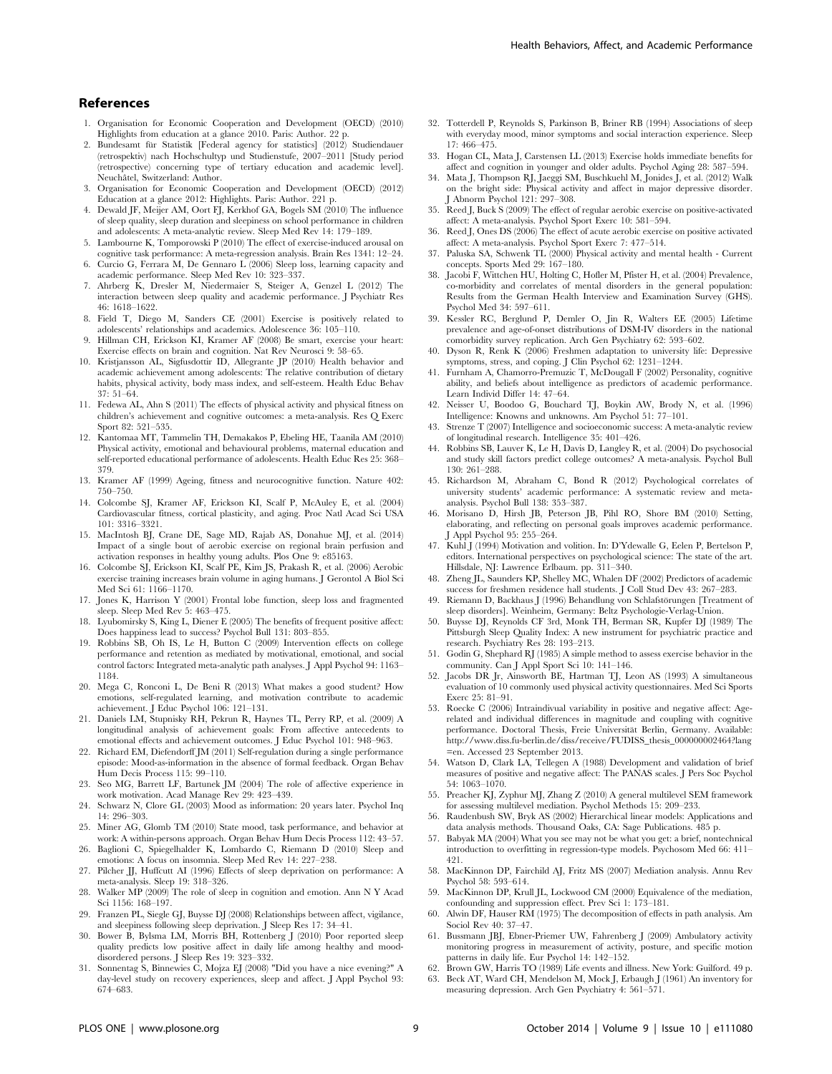## References

- 1. Organisation for Economic Cooperation and Development (OECD) (2010) Highlights from education at a glance 2010. Paris: Author. 22 p.
- 2. Bundesamt für Statistik [Federal agency for statistics] (2012) Studiendauer (retrospektiv) nach Hochschultyp und Studienstufe, 2007–2011 [Study period (retrospective) concerning type of tertiary education and academic level]. Neuchaˆtel, Switzerland: Author.
- 3. Organisation for Economic Cooperation and Development (OECD) (2012) Education at a glance 2012: Highlights. Paris: Author. 221 p.
- 4. Dewald JF, Meijer AM, Oort FJ, Kerkhof GA, Bogels SM (2010) The influence of sleep quality, sleep duration and sleepiness on school performance in children and adolescents: A meta-analytic review. Sleep Med Rev 14: 179–189.
- 5. Lambourne K, Tomporowski P (2010) The effect of exercise-induced arousal on cognitive task performance: A meta-regression analysis. Brain Res 1341: 12–24.
- 6. Curcio G, Ferrara M, De Gennaro L (2006) Sleep loss, learning capacity and academic performance. Sleep Med Rev 10: 323–337.
- 7. Ahrberg K, Dresler M, Niedermaier S, Steiger A, Genzel L (2012) The interaction between sleep quality and academic performance. J Psychiatr Res 46: 1618–1622.
- 8. Field T, Diego M, Sanders CE (2001) Exercise is positively related to adolescents' relationships and academics. Adolescence 36: 105–110.
- 9. Hillman CH, Erickson KI, Kramer AF (2008) Be smart, exercise your heart: Exercise effects on brain and cognition. Nat Rev Neurosci 9: 58–65.
- 10. Kristjansson AL, Sigfusdottir ID, Allegrante JP (2010) Health behavior and academic achievement among adolescents: The relative contribution of dietary habits, physical activity, body mass index, and self-esteem. Health Educ Behav 37: 51–64.
- 11. Fedewa AL, Ahn S (2011) The effects of physical activity and physical fitness on children's achievement and cognitive outcomes: a meta-analysis. Res Q Exerc Sport 82: 521–535.
- 12. Kantomaa MT, Tammelin TH, Demakakos P, Ebeling HE, Taanila AM (2010) Physical activity, emotional and behavioural problems, maternal education and self-reported educational performance of adolescents. Health Educ Res 25: 368– 379.
- 13. Kramer AF (1999) Ageing, fitness and neurocognitive function. Nature 402: 750–750.
- 14. Colcombe SJ, Kramer AF, Erickson KI, Scalf P, McAuley E, et al. (2004) Cardiovascular fitness, cortical plasticity, and aging. Proc Natl Acad Sci USA 101: 3316–3321.
- 15. MacIntosh BJ, Crane DE, Sage MD, Rajab AS, Donahue MJ, et al. (2014) Impact of a single bout of aerobic exercise on regional brain perfusion and activation responses in healthy young adults. Plos One 9: e85163.
- 16. Colcombe SJ, Erickson KI, Scalf PE, Kim JS, Prakash R, et al. (2006) Aerobic exercise training increases brain volume in aging humans. J Gerontol A Biol Sci Med Sci 61: 1166–1170.
- 17. Jones K, Harrison Y (2001) Frontal lobe function, sleep loss and fragmented sleep. Sleep Med Rev 5: 463–475.
- 18. Lyubomirsky S, King L, Diener E (2005) The benefits of frequent positive affect: Does happiness lead to success? Psychol Bull 131: 803–855.
- 19. Robbins SB, Oh IS, Le H, Button C (2009) Intervention effects on college performance and retention as mediated by motivational, emotional, and social control factors: Integrated meta-analytic path analyses. J Appl Psychol 94: 1163– 1184.
- 20. Mega C, Ronconi L, De Beni R (2013) What makes a good student? How emotions, self-regulated learning, and motivation contribute to academic achievement. J Educ Psychol 106: 121–131.
- 21. Daniels LM, Stupnisky RH, Pekrun R, Haynes TL, Perry RP, et al. (2009) A longitudinal analysis of achievement goals: From affective antecedents to emotional effects and achievement outcomes. J Educ Psychol 101: 948–963.
- 22. Richard EM, Diefendorff JM (2011) Self-regulation during a single performance episode: Mood-as-information in the absence of formal feedback. Organ Behav Hum Decis Process 115: 99–110.
- 23. Seo MG, Barrett LF, Bartunek JM (2004) The role of affective experience in work motivation. Acad Manage Rev 29: 423–439.
- 24. Schwarz N, Clore GL (2003) Mood as information: 20 years later. Psychol Inq 14: 296–303.
- 25. Miner AG, Glomb TM (2010) State mood, task performance, and behavior at work: A within-persons approach. Organ Behav Hum Decis Process 112: 43–57. 26. Baglioni C, Spiegelhalder K, Lombardo C, Riemann D (2010) Sleep and
- emotions: A focus on insomnia. Sleep Med Rev 14: 227–238.
- 27. Pilcher JJ, Huffcutt AI (1996) Effects of sleep deprivation on performance: A meta-analysis. Sleep 19: 318–326. 28. Walker MP (2009) The role of sleep in cognition and emotion. Ann N Y Acad
- Sci 1156: 168–197.
- 29. Franzen PL, Siegle GJ, Buysse DJ (2008) Relationships between affect, vigilance, and sleepiness following sleep deprivation. J Sleep Res 17: 34–41. 30. Bower B, Bylsma LM, Morris BH, Rottenberg J (2010) Poor reported sleep
- quality predicts low positive affect in daily life among healthy and mooddisordered persons. J Sleep Res 19: 323–332.
- 31. Sonnentag S, Binnewies C, Mojza EJ (2008) "Did you have a nice evening?" A day-level study on recovery experiences, sleep and affect. J Appl Psychol 93: 674–683.
- 32. Totterdell P, Reynolds S, Parkinson B, Briner RB (1994) Associations of sleep with everyday mood, minor symptoms and social interaction experience. Sleep 17: 466–475.
- 33. Hogan CL, Mata J, Carstensen LL (2013) Exercise holds immediate benefits for affect and cognition in younger and older adults. Psychol Aging 28: 587–594.
- 34. Mata J, Thompson RJ, Jaeggi SM, Buschkuehl M, Jonides J, et al. (2012) Walk on the bright side: Physical activity and affect in major depressive disorder. Abnorm Psychol 121: 297-308.
- 35. Reed J, Buck S (2009) The effect of regular aerobic exercise on positive-activated affect: A meta-analysis. Psychol Sport Exerc 10: 581–594.
- 36. Reed J, Ones DS (2006) The effect of acute aerobic exercise on positive activated affect: A meta-analysis. Psychol Sport Exerc 7: 477–514.
- 37. Paluska SA, Schwenk TL (2000) Physical activity and mental health Current concepts. Sports Med 29: 167–180.
- 38. Jacobi F, Wittchen HU, Holting C, Hofler M, Pfister H, et al. (2004) Prevalence, co-morbidity and correlates of mental disorders in the general population: Results from the German Health Interview and Examination Survey (GHS). Psychol Med 34: 597–611.
- 39. Kessler RC, Berglund P, Demler O, Jin R, Walters EE (2005) Lifetime prevalence and age-of-onset distributions of DSM-IV disorders in the national comorbidity survey replication. Arch Gen Psychiatry 62: 593–602.
- 40. Dyson R, Renk K (2006) Freshmen adaptation to university life: Depressive symptoms, stress, and coping. J Clin Psychol 62: 1231–1244.
- 41. Furnham A, Chamorro-Premuzic T, McDougall F (2002) Personality, cognitive ability, and beliefs about intelligence as predictors of academic performance. Learn Individ Differ 14: 47–64.
- 42. Neisser U, Boodoo G, Bouchard TJ, Boykin AW, Brody N, et al. (1996) Intelligence: Knowns and unknowns. Am Psychol 51: 77–101.
- 43. Strenze T (2007) Intelligence and socioeconomic success: A meta-analytic review of longitudinal research. Intelligence 35: 401–426.
- 44. Robbins SB, Lauver K, Le H, Davis D, Langley R, et al. (2004) Do psychosocial and study skill factors predict college outcomes? A meta-analysis. Psychol Bull 130: 261–288.
- 45. Richardson M, Abraham C, Bond R (2012) Psychological correlates of university students' academic performance: A systematic review and metaanalysis. Psychol Bull 138: 353–387.
- 46. Morisano D, Hirsh JB, Peterson JB, Pihl RO, Shore BM (2010) Setting, elaborating, and reflecting on personal goals improves academic performance. Appl Psychol 95: 255-264.
- 47. Kuhl J (1994) Motivation and volition. In: D'Ydewalle G, Eelen P, Bertelson P, editors. International perspectives on psychological science: The state of the art. Hillsdale, NJ: Lawrence Erlbaum. pp. 311–340.
- 48. Zheng JL, Saunders KP, Shelley MC, Whalen DF (2002) Predictors of academic success for freshmen residence hall students. J Coll Stud Dev 43: 267–283.
- 49. Riemann D, Backhaus J (1996) Behandlung von Schlafstörungen [Treatment of sleep disorders]. Weinheim, Germany: Beltz Psychologie-Verlag-Union.
- 50. Buysse DJ, Reynolds CF 3rd, Monk TH, Berman SR, Kupfer DJ (1989) The Pittsburgh Sleep Quality Index: A new instrument for psychiatric practice and research. Psychiatry Res 28: 193–213.
- 51. Godin G, Shephard RJ (1985) A simple method to assess exercise behavior in the community. Can J Appl Sport Sci 10: 141–146.
- 52. Jacobs DR Jr, Ainsworth BE, Hartman TJ, Leon AS (1993) A simultaneous evaluation of 10 commonly used physical activity questionnaires. Med Sci Sports Exerc 25: 81–91.
- 53. Roecke C (2006) Intraindivual variability in positive and negative affect: Agerelated and individual differences in magnitude and coupling with cognitive performance. Doctoral Thesis, Freie Universität Berlin, Germany. Available: [http://www.diss.fu-berlin.de/diss/receive/FUDISS\\_thesis\\_000000002464?lang](http://www.diss.fu-berlin.de/diss/receive/FUDISS_thesis_000000002464?lang=en) [=en](http://www.diss.fu-berlin.de/diss/receive/FUDISS_thesis_000000002464?lang=en). Accessed 23 September 2013.
- 54. Watson D, Clark LA, Tellegen A (1988) Development and validation of brief measures of positive and negative affect: The PANAS scales. J Pers Soc Psychol 54: 1063–1070.
- 55. Preacher KJ, Zyphur MJ, Zhang Z (2010) A general multilevel SEM framework for assessing multilevel mediation. Psychol Methods 15: 209–233.
- 56. Raudenbush SW, Bryk AS (2002) Hierarchical linear models: Applications and data analysis methods. Thousand Oaks, CA: Sage Publications. 485 p.
- 57. Babyak MA (2004) What you see may not be what you get: a brief, nontechnical introduction to overfitting in regression-type models. Psychosom Med 66: 411– 421.
- 58. MacKinnon DP, Fairchild AJ, Fritz MS (2007) Mediation analysis. Annu Rev Psychol 58: 593–614.
- 59. MacKinnon DP, Krull JL, Lockwood CM (2000) Equivalence of the mediation, confounding and suppression effect. Prev Sci 1: 173–181.
- 60. Alwin DF, Hauser RM (1975) The decomposition of effects in path analysis. Am Sociol Rev 40: 37–47.
- 61. Bussmann JBJ, Ebner-Priemer UW, Fahrenberg J (2009) Ambulatory activity monitoring progress in measurement of activity, posture, and specific motion patterns in daily life. Eur Psychol 14: 142–152.
- 62. Brown GW, Harris TO (1989) Life events and illness. New York: Guilford. 49 p.
- 63. Beck AT, Ward CH, Mendelson M, Mock J, Erbaugh J (1961) An inventory for measuring depression. Arch Gen Psychiatry 4: 561–571.